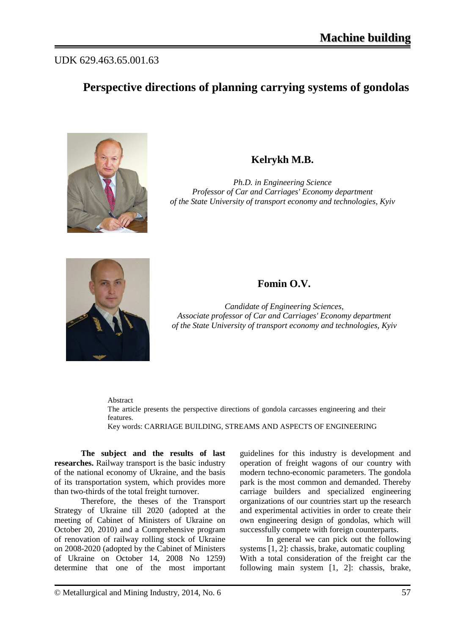## UDK 629.463.65.001.63

# **Perspective directions of planning carrying systems of gondolas**



## **Kelrykh M.B.**

*Ph.D. in Engineering Science Professor of Car and Carriages' Economy department of the State University of transport economy and technologies, Kyiv*



#### **Fomin O.V.**

*Candidate of Engineering Sciences, Associate professor of Car and Carriages' Economy department of the State University of transport economy and technologies, Kyiv*

Abstract

The article presents the perspective directions of gondola carcasses engineering and their features.

Key words: CARRIAGE BUILDING, STREAMS AND ASPECTS OF ENGINEERING

**The subject and the results of last researches.** Railway transport is the basic industry of the national economy of Ukraine, and the basis of its transportation system, which provides more than two-thirds of the total freight turnover.

Therefore, the theses of the Transport Strategy of Ukraine till 2020 (adopted at the meeting of Cabinet of Ministers of Ukraine on October 20, 2010) and a Comprehensive program of renovation of railway rolling stock of Ukraine on 2008-2020 (adopted by the Cabinet of Ministers of Ukraine on October 14, 2008 No 1259) determine that one of the most important guidelines for this industry is development and operation of freight wagons of our country with modern techno-economic parameters. The gondola park is the most common and demanded. Thereby carriage builders and specialized engineering organizations of our countries start up the research and experimental activities in order to create their own engineering design of gondolas, which will successfully compete with foreign counterparts.

In general we can pick out the following systems [1, 2]: chassis, brake, automatic coupling With a total consideration of the freight car the following main system [1, 2]: chassis, brake,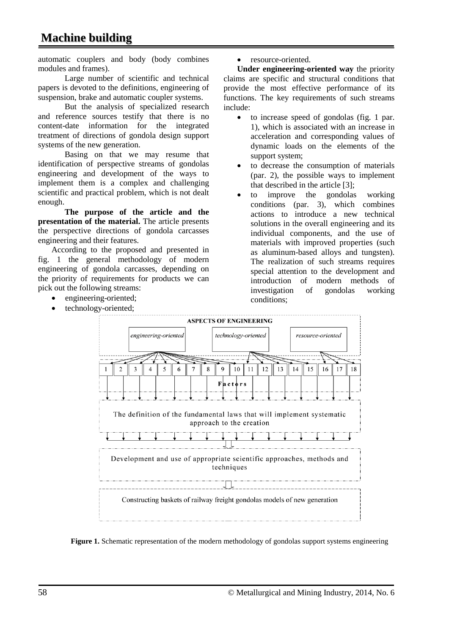automatic couplers and body (body combines modules and frames).

Large number of scientific and technical papers is devoted to the definitions, engineering of suspension, brake and automatic coupler systems.

But the analysis of specialized research and reference sources testify that there is no content-date information for the integrated treatment of directions of gondola design support systems of the new generation.

Basing on that we may resume that identification of perspective streams of gondolas engineering and development of the ways to implement them is a complex and challenging scientific and practical problem, which is not dealt enough.

**The purpose of the article and the presentation of the material.** The article presents the perspective directions of gondola carcasses engineering and their features.

According to the proposed and presented in fig. 1 the general methodology of modern engineering of gondola carcasses, depending on the priority of requirements for products we can pick out the following streams:

- engineering-oriented;
- technology-oriented;

resource-oriented.

**Under engineering-oriented way** the priority claims are specific and structural conditions that provide the most effective performance of its functions. The key requirements of such streams include:

- to increase speed of gondolas (fig. 1 par. 1), which is associated with an increase in acceleration and corresponding values of dynamic loads on the elements of the support system;
- to decrease the consumption of materials (par. 2), the possible ways to implement that described in the article [3];
- to improve the gondolas working conditions (par. 3), which combines actions to introduce a new technical solutions in the overall engineering and its individual components, and the use of materials with improved properties (such as aluminum-based alloys and tungsten). The realization of such streams requires special attention to the development and introduction of modern methods of investigation of gondolas working conditions;



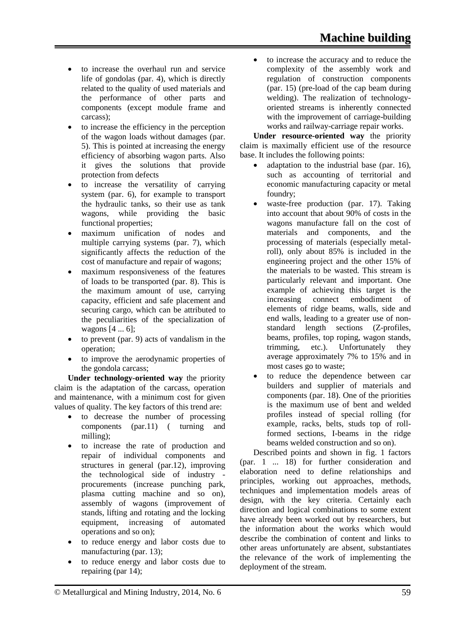- to increase the overhaul run and service life of gondolas (par. 4), which is directly related to the quality of used materials and the performance of other parts and components (except module frame and carcass);
- to increase the efficiency in the perception of the wagon loads without damages (par. 5). This is pointed at increasing the energy efficiency of absorbing wagon parts. Also it gives the solutions that provide protection from defects
- to increase the versatility of carrying system (par. 6), for example to transport the hydraulic tanks, so their use as tank wagons, while providing the basic functional properties;
- maximum unification of nodes and multiple carrying systems (par. 7), which significantly affects the reduction of the cost of manufacture and repair of wagons;
- maximum responsiveness of the features of loads to be transported (par. 8). This is the maximum amount of use, carrying capacity, efficient and safe placement and securing cargo, which can be attributed to the peculiarities of the specialization of wagons [4 ... 6];
- to prevent (par. 9) acts of vandalism in the operation;
- to improve the aerodynamic properties of the gondola carcass;

**Under technology-oriented way** the priority claim is the adaptation of the carcass, operation and maintenance, with a minimum cost for given values of quality. The key factors of this trend are:

- to decrease the number of processing components (par.11) ( turning and milling);
- to increase the rate of production and repair of individual components and structures in general (par.12), improving the technological side of industry procurements (increase punching park, plasma cutting machine and so on), assembly of wagons (improvement of stands, lifting and rotating and the locking equipment, increasing of automated operations and so on);
- to reduce energy and labor costs due to manufacturing (par. 13);
- to reduce energy and labor costs due to repairing (par 14);

• to increase the accuracy and to reduce the complexity of the assembly work and regulation of construction components (par. 15) (pre-load of the cap beam during welding). The realization of technologyoriented streams is inherently connected with the improvement of carriage-building works and railway-carriage repair works.

**Under resource-oriented way** the priority claim is maximally efficient use of the resource base. It includes the following points:

- adaptation to the industrial base (par. 16), such as accounting of territorial and economic manufacturing capacity or metal foundry;
- waste-free production (par. 17). Taking into account that about 90% of costs in the wagons manufacture fall on the cost of materials and components, and the processing of materials (especially metalroll), only about 85% is included in the engineering project and the other 15% of the materials to be wasted. This stream is particularly relevant and important. One example of achieving this target is the increasing connect embodiment of elements of ridge beams, walls, side and end walls, leading to a greater use of nonstandard length sections (Z-profiles, beams, profiles, top roping, wagon stands, trimming, etc.). Unfortunately they average approximately 7% to 15% and in most cases go to waste;
- to reduce the dependence between car builders and supplier of materials and components (par. 18). One of the priorities is the maximum use of bent and welded profiles instead of special rolling (for example, racks, belts, studs top of rollformed sections, I-beams in the ridge beams welded construction and so on).

Described points and shown in fig. 1 factors (par. 1 ... 18) for further consideration and elaboration need to define relationships and principles, working out approaches, methods, techniques and implementation models areas of design, with the key criteria. Certainly each direction and logical combinations to some extent have already been worked out by researchers, but the information about the works which would describe the combination of content and links to other areas unfortunately are absent, substantiates the relevance of the work of implementing the deployment of the stream.